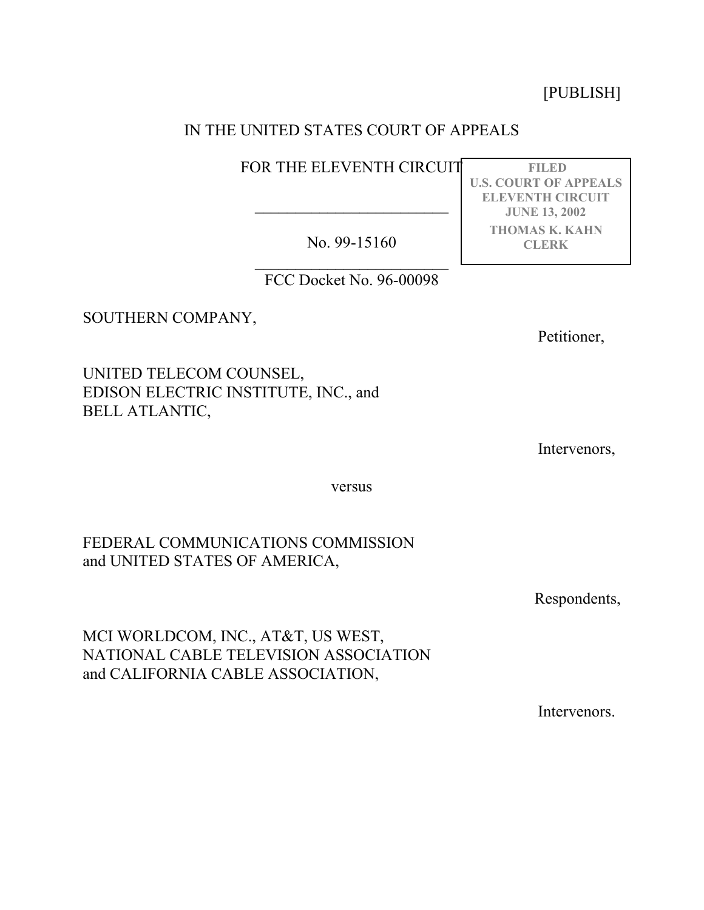[PUBLISH]

# IN THE UNITED STATES COURT OF APPEALS

FOR THE ELEVENTH CIRCUIT

No. 99-15160

 $\overline{\phantom{a}}$  , where  $\overline{\phantom{a}}$ 

 $\overline{\phantom{a}}$  , where  $\overline{\phantom{a}}$ FCC Docket No. 96-00098

SOUTHERN COMPANY,

Petitioner,

UNITED TELECOM COUNSEL, EDISON ELECTRIC INSTITUTE, INC., and BELL ATLANTIC,

Intervenors,

versus

FEDERAL COMMUNICATIONS COMMISSION and UNITED STATES OF AMERICA,

Respondents,

MCI WORLDCOM, INC., AT&T, US WEST, NATIONAL CABLE TELEVISION ASSOCIATION and CALIFORNIA CABLE ASSOCIATION,

Intervenors.

**FILED U.S. COURT OF APPEALS ELEVENTH CIRCUIT JUNE 13, 2002 THOMAS K. KAHN CLERK**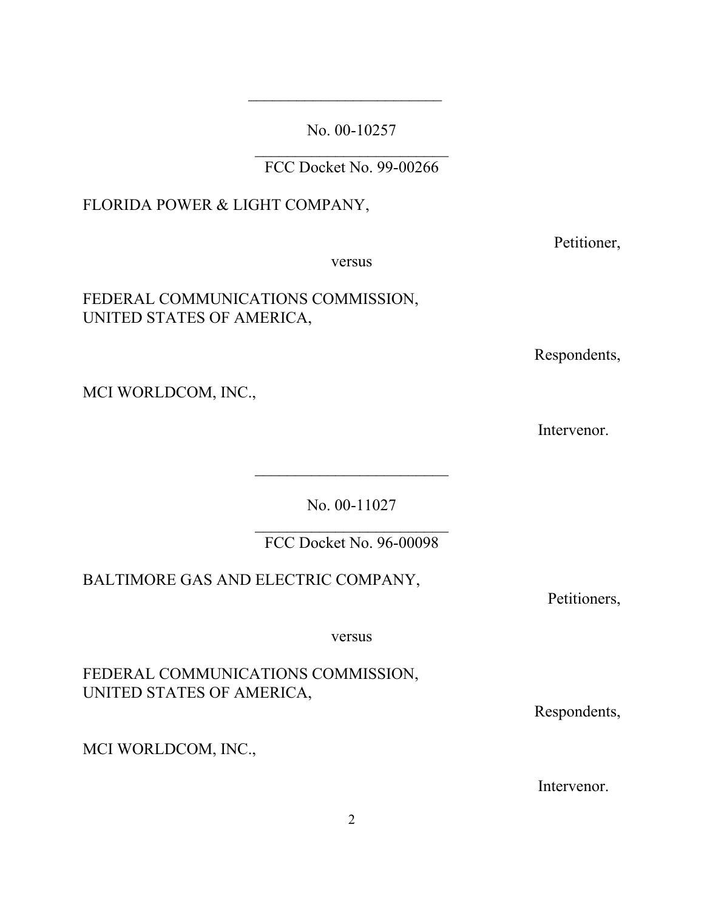No. 00-10257

FCC Docket No. 99-00266

# FLORIDA POWER & LIGHT COMPANY,

versus

# FEDERAL COMMUNICATIONS COMMISSION, UNITED STATES OF AMERICA,

Respondents,

MCI WORLDCOM, INC.,

Intervenor.

No. 00-11027

 $\mathcal{L}_\text{max}$  , where  $\mathcal{L}_\text{max}$  , we have the set of  $\mathcal{L}_\text{max}$ FCC Docket No. 96-00098

BALTIMORE GAS AND ELECTRIC COMPANY,

versus

FEDERAL COMMUNICATIONS COMMISSION, UNITED STATES OF AMERICA,

MCI WORLDCOM, INC.,

Intervenor.

Respondents,

Petitioner,

Petitioners,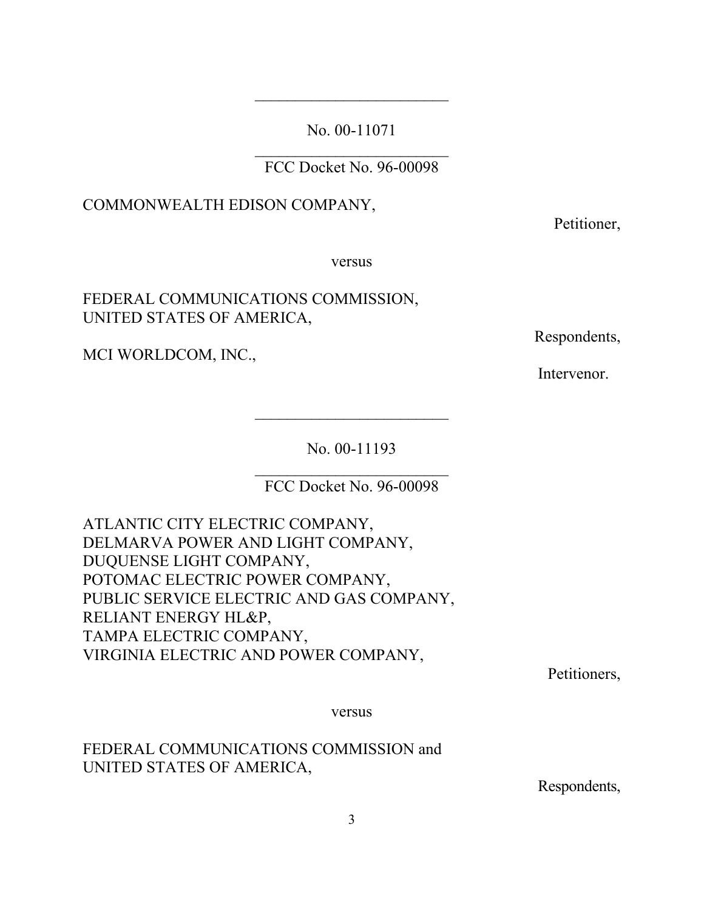No. 00-11071

FCC Docket No. 96-00098

## COMMONWEALTH EDISON COMPANY,

Petitioner,

versus

# FEDERAL COMMUNICATIONS COMMISSION, UNITED STATES OF AMERICA,

MCI WORLDCOM, INC.,

Respondents,

Intervenor.

No. 00-11193

 $\overline{\phantom{a}}$  , where  $\overline{\phantom{a}}$ 

FCC Docket No. 96-00098

ATLANTIC CITY ELECTRIC COMPANY, DELMARVA POWER AND LIGHT COMPANY, DUQUENSE LIGHT COMPANY, POTOMAC ELECTRIC POWER COMPANY, PUBLIC SERVICE ELECTRIC AND GAS COMPANY, RELIANT ENERGY HL&P, TAMPA ELECTRIC COMPANY, VIRGINIA ELECTRIC AND POWER COMPANY,

Petitioners,

versus

FEDERAL COMMUNICATIONS COMMISSION and UNITED STATES OF AMERICA,

Respondents,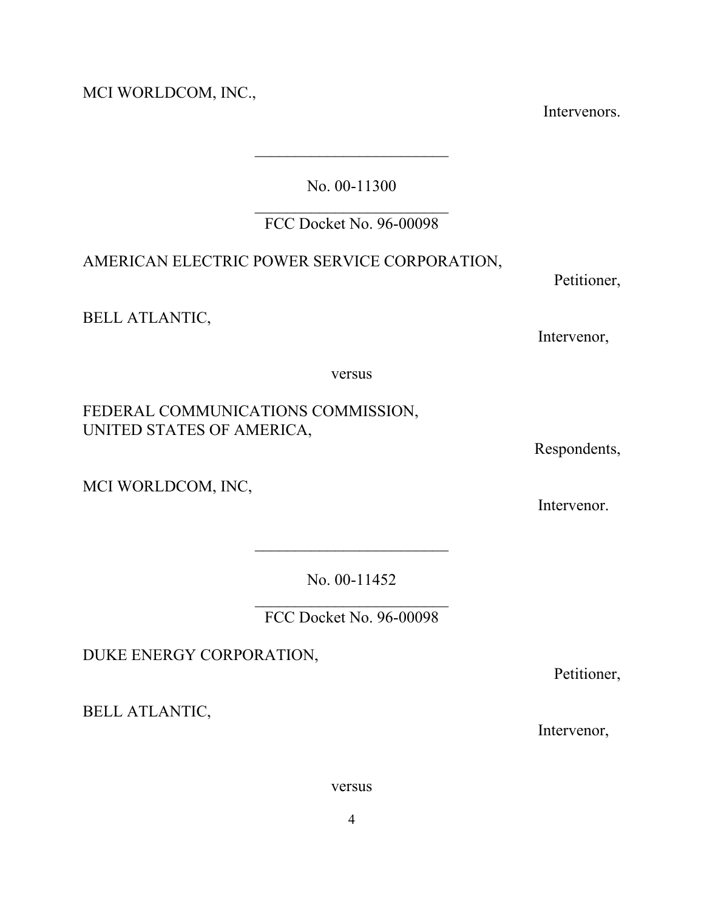MCI WORLDCOM, INC.,

Intervenors.

No. 00-11300

## $\mathcal{L}_\text{max}$  , where  $\mathcal{L}_\text{max}$  , we have the set of  $\mathcal{L}_\text{max}$ FCC Docket No. 96-00098

# AMERICAN ELECTRIC POWER SERVICE CORPORATION,

BELL ATLANTIC,

Petitioner,

Intervenor,

versus

FEDERAL COMMUNICATIONS COMMISSION, UNITED STATES OF AMERICA,

MCI WORLDCOM, INC,

Intervenor.

Respondents,

No. 00-11452

 $\mathcal{L}_\text{max}$  , where  $\mathcal{L}_\text{max}$  , we have the set of  $\mathcal{L}_\text{max}$ FCC Docket No. 96-00098

DUKE ENERGY CORPORATION,

BELL ATLANTIC,

Petitioner,

Intervenor,

versus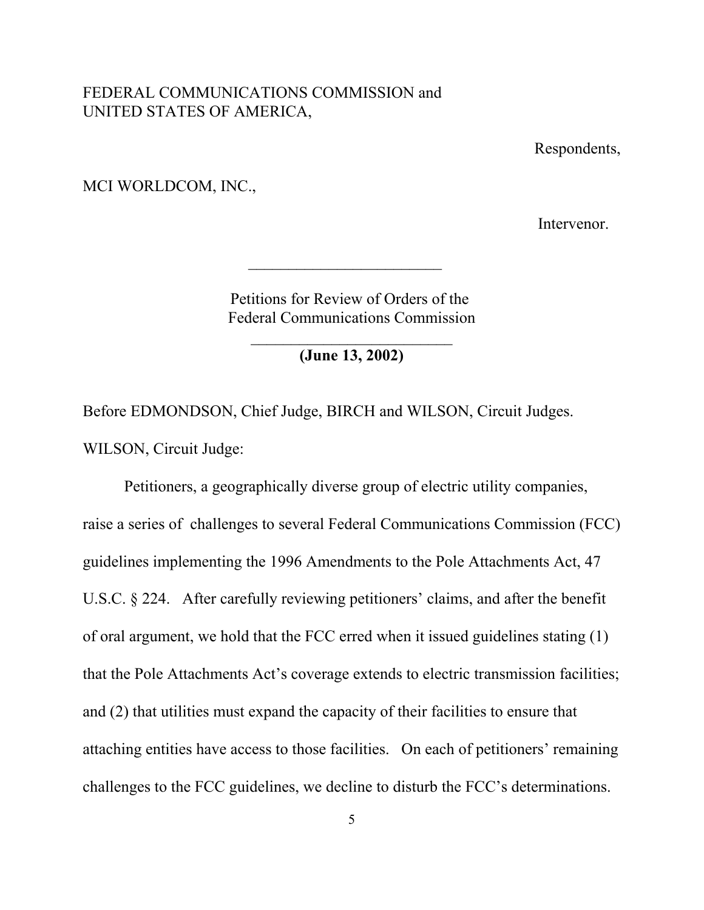### FEDERAL COMMUNICATIONS COMMISSION and UNITED STATES OF AMERICA,

Respondents,

MCI WORLDCOM, INC.,

Intervenor.

Petitions for Review of Orders of the Federal Communications Commission

 $\overline{\phantom{a}}$  , where  $\overline{\phantom{a}}$ 

 $\mathcal{L}_\text{max}$  , where  $\mathcal{L}_\text{max}$  , we have the set of  $\mathcal{L}_\text{max}$ **(June 13, 2002)**

Before EDMONDSON, Chief Judge, BIRCH and WILSON, Circuit Judges. WILSON, Circuit Judge:

Petitioners, a geographically diverse group of electric utility companies, raise a series of challenges to several Federal Communications Commission (FCC) guidelines implementing the 1996 Amendments to the Pole Attachments Act, 47 U.S.C. § 224. After carefully reviewing petitioners' claims, and after the benefit of oral argument, we hold that the FCC erred when it issued guidelines stating (1) that the Pole Attachments Act's coverage extends to electric transmission facilities; and (2) that utilities must expand the capacity of their facilities to ensure that attaching entities have access to those facilities. On each of petitioners' remaining challenges to the FCC guidelines, we decline to disturb the FCC's determinations.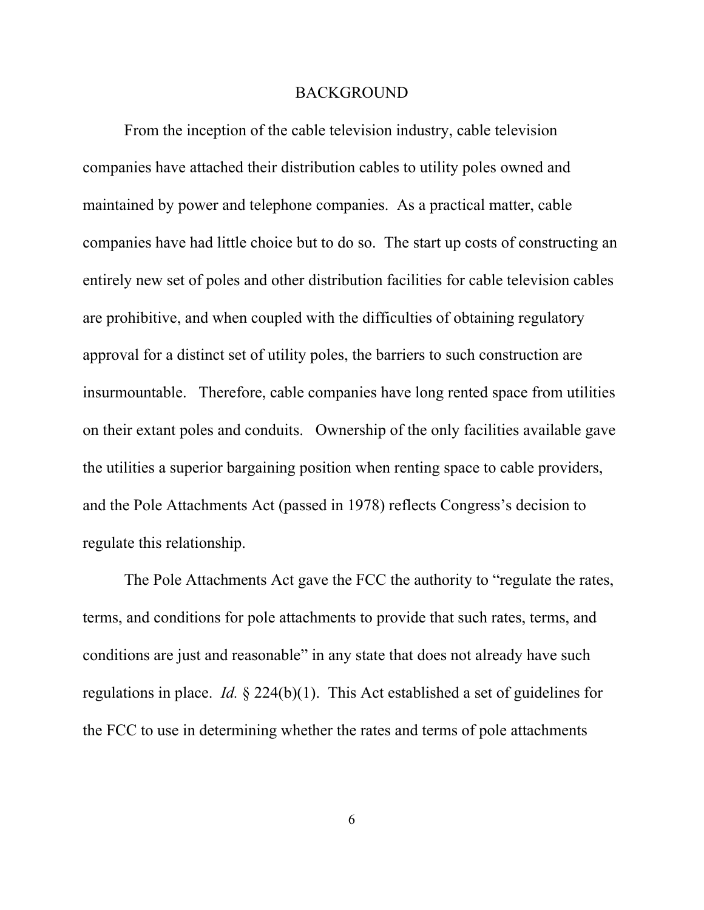#### BACKGROUND

From the inception of the cable television industry, cable television companies have attached their distribution cables to utility poles owned and maintained by power and telephone companies. As a practical matter, cable companies have had little choice but to do so. The start up costs of constructing an entirely new set of poles and other distribution facilities for cable television cables are prohibitive, and when coupled with the difficulties of obtaining regulatory approval for a distinct set of utility poles, the barriers to such construction are insurmountable. Therefore, cable companies have long rented space from utilities on their extant poles and conduits. Ownership of the only facilities available gave the utilities a superior bargaining position when renting space to cable providers, and the Pole Attachments Act (passed in 1978) reflects Congress's decision to regulate this relationship.

The Pole Attachments Act gave the FCC the authority to "regulate the rates, terms, and conditions for pole attachments to provide that such rates, terms, and conditions are just and reasonable" in any state that does not already have such regulations in place. *Id.* § 224(b)(1). This Act established a set of guidelines for the FCC to use in determining whether the rates and terms of pole attachments

6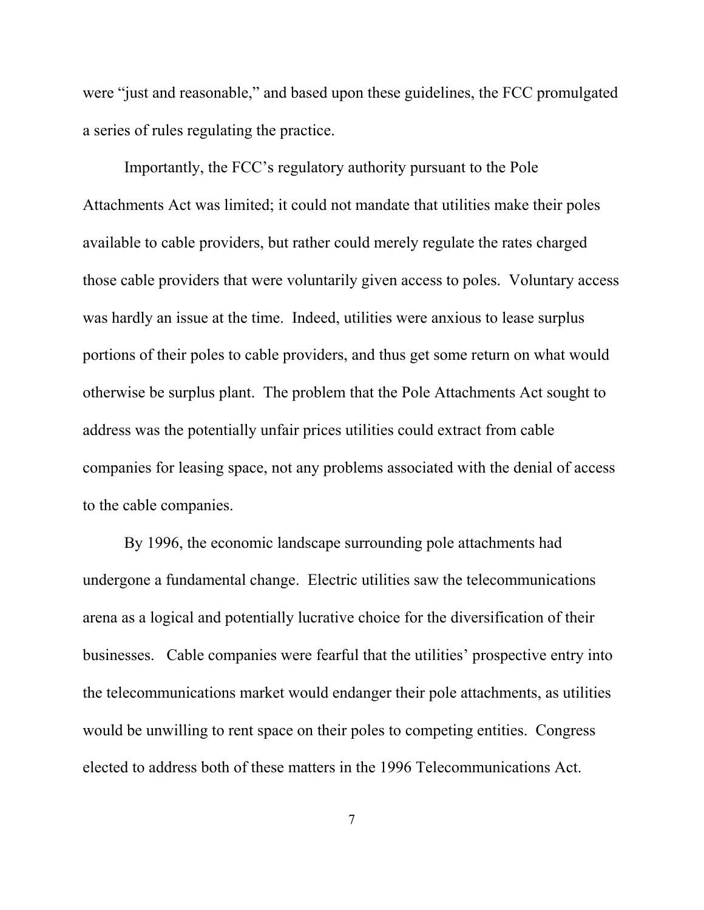were "just and reasonable," and based upon these guidelines, the FCC promulgated a series of rules regulating the practice.

Importantly, the FCC's regulatory authority pursuant to the Pole Attachments Act was limited; it could not mandate that utilities make their poles available to cable providers, but rather could merely regulate the rates charged those cable providers that were voluntarily given access to poles. Voluntary access was hardly an issue at the time. Indeed, utilities were anxious to lease surplus portions of their poles to cable providers, and thus get some return on what would otherwise be surplus plant. The problem that the Pole Attachments Act sought to address was the potentially unfair prices utilities could extract from cable companies for leasing space, not any problems associated with the denial of access to the cable companies.

By 1996, the economic landscape surrounding pole attachments had undergone a fundamental change. Electric utilities saw the telecommunications arena as a logical and potentially lucrative choice for the diversification of their businesses. Cable companies were fearful that the utilities' prospective entry into the telecommunications market would endanger their pole attachments, as utilities would be unwilling to rent space on their poles to competing entities. Congress elected to address both of these matters in the 1996 Telecommunications Act.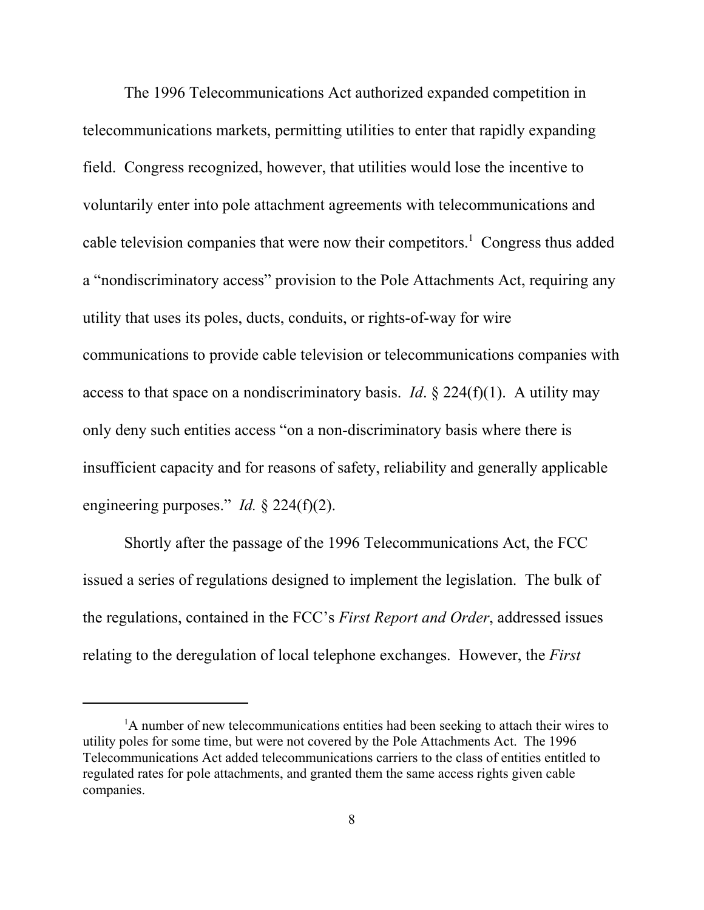The 1996 Telecommunications Act authorized expanded competition in telecommunications markets, permitting utilities to enter that rapidly expanding field. Congress recognized, however, that utilities would lose the incentive to voluntarily enter into pole attachment agreements with telecommunications and cable television companies that were now their competitors.<sup>1</sup> Congress thus added a "nondiscriminatory access" provision to the Pole Attachments Act, requiring any utility that uses its poles, ducts, conduits, or rights-of-way for wire communications to provide cable television or telecommunications companies with access to that space on a nondiscriminatory basis. *Id*. § 224(f)(1). A utility may only deny such entities access "on a non-discriminatory basis where there is insufficient capacity and for reasons of safety, reliability and generally applicable engineering purposes." *Id.* § 224(f)(2).

Shortly after the passage of the 1996 Telecommunications Act, the FCC issued a series of regulations designed to implement the legislation. The bulk of the regulations, contained in the FCC's *First Report and Order*, addressed issues relating to the deregulation of local telephone exchanges. However, the *First*

<sup>&</sup>lt;sup>1</sup>A number of new telecommunications entities had been seeking to attach their wires to utility poles for some time, but were not covered by the Pole Attachments Act. The 1996 Telecommunications Act added telecommunications carriers to the class of entities entitled to regulated rates for pole attachments, and granted them the same access rights given cable companies.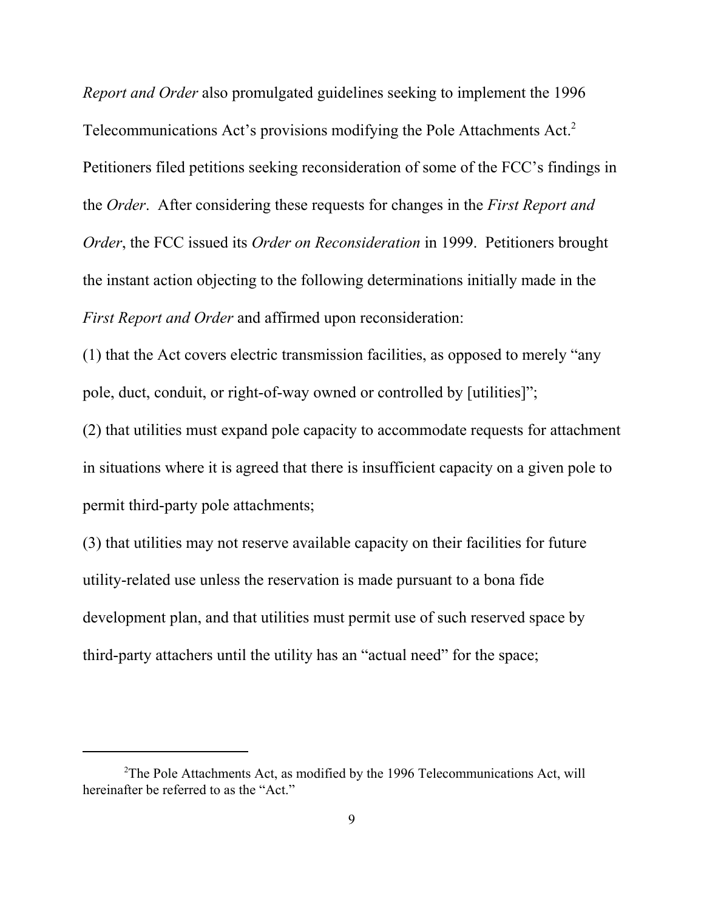*Report and Order* also promulgated guidelines seeking to implement the 1996 Telecommunications Act's provisions modifying the Pole Attachments Act.<sup>2</sup> Petitioners filed petitions seeking reconsideration of some of the FCC's findings in the *Order*. After considering these requests for changes in the *First Report and Order*, the FCC issued its *Order on Reconsideration* in 1999. Petitioners brought the instant action objecting to the following determinations initially made in the *First Report and Order* and affirmed upon reconsideration:

(1) that the Act covers electric transmission facilities, as opposed to merely "any pole, duct, conduit, or right-of-way owned or controlled by [utilities]";

(2) that utilities must expand pole capacity to accommodate requests for attachment in situations where it is agreed that there is insufficient capacity on a given pole to permit third-party pole attachments;

(3) that utilities may not reserve available capacity on their facilities for future utility-related use unless the reservation is made pursuant to a bona fide development plan, and that utilities must permit use of such reserved space by third-party attachers until the utility has an "actual need" for the space;

 $2$ The Pole Attachments Act, as modified by the 1996 Telecommunications Act, will hereinafter be referred to as the "Act."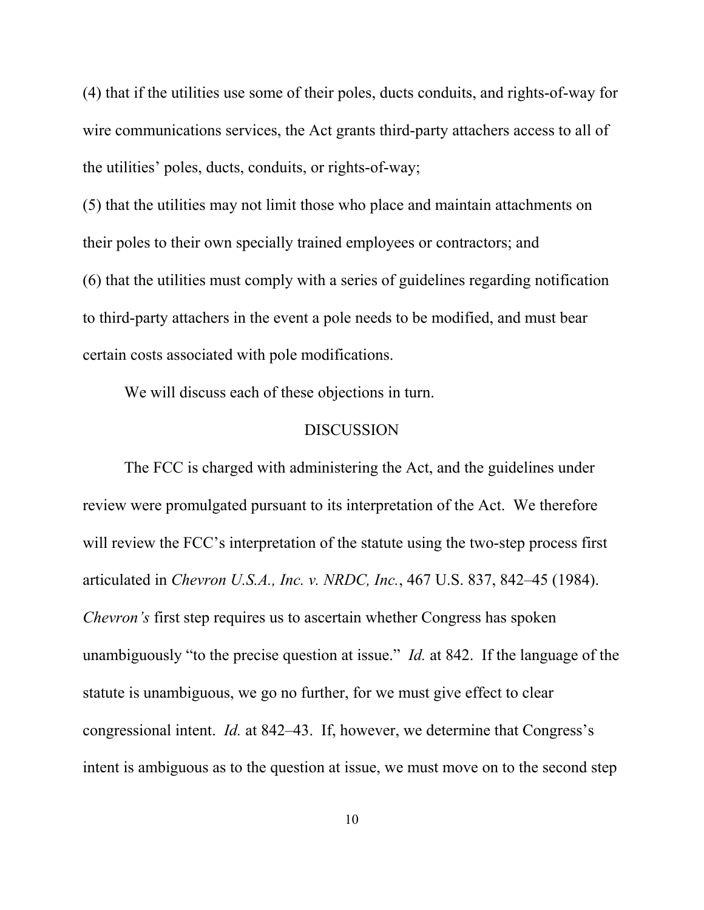(4) that if the utilities use some of their poles, ducts conduits, and rights-of-way for wire communications services, the Act grants third-party attachers access to all of the utilities' poles, ducts, conduits, or rights-of-way;

(5) that the utilities may not limit those who place and maintain attachments on their poles to their own specially trained employees or contractors; and (6) that the utilities must comply with a series of guidelines regarding notification to third-party attachers in the event a pole needs to be modified, and must bear certain costs associated with pole modifications.

We will discuss each of these objections in turn.

### **DISCUSSION**

The FCC is charged with administering the Act, and the guidelines under review were promulgated pursuant to its interpretation of the Act. We therefore will review the FCC's interpretation of the statute using the two-step process first articulated in *Chevron U.S.A., Inc. v. NRDC, Inc.*, 467 U.S. 837, 842–45 (1984). *Chevron's* first step requires us to ascertain whether Congress has spoken unambiguously "to the precise question at issue." *Id.* at 842. If the language of the statute is unambiguous, we go no further, for we must give effect to clear congressional intent. *Id.* at 842–43. If, however, we determine that Congress's intent is ambiguous as to the question at issue, we must move on to the second step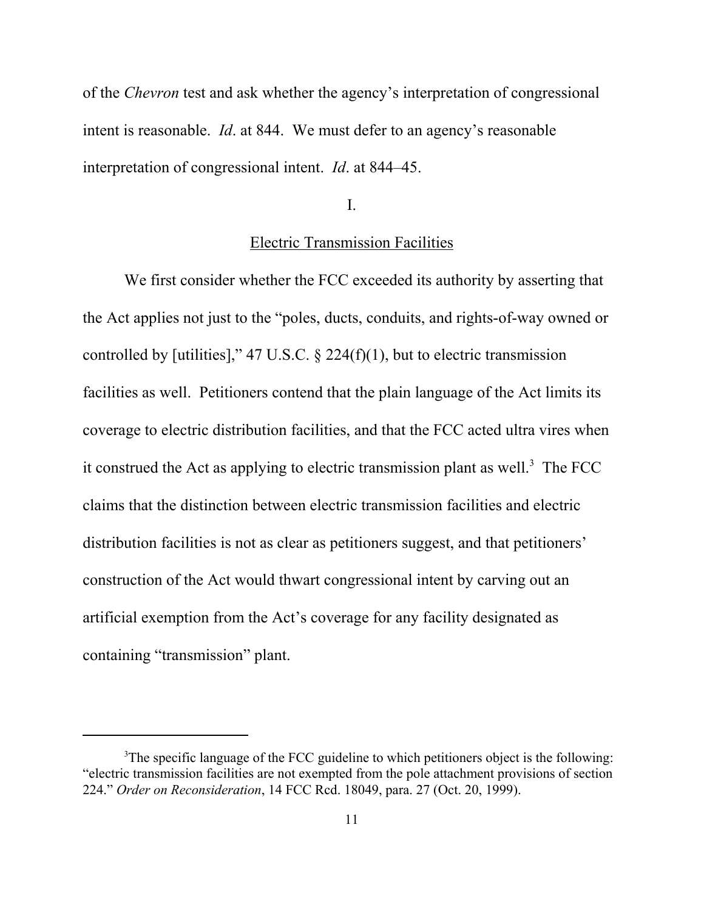of the *Chevron* test and ask whether the agency's interpretation of congressional intent is reasonable. *Id*. at 844. We must defer to an agency's reasonable interpretation of congressional intent. *Id*. at 844–45.

I.

## Electric Transmission Facilities

We first consider whether the FCC exceeded its authority by asserting that the Act applies not just to the "poles, ducts, conduits, and rights-of-way owned or controlled by [utilities]," 47 U.S.C.  $\S$  224(f)(1), but to electric transmission facilities as well. Petitioners contend that the plain language of the Act limits its coverage to electric distribution facilities, and that the FCC acted ultra vires when it construed the Act as applying to electric transmission plant as well.<sup>3</sup> The FCC claims that the distinction between electric transmission facilities and electric distribution facilities is not as clear as petitioners suggest, and that petitioners' construction of the Act would thwart congressional intent by carving out an artificial exemption from the Act's coverage for any facility designated as containing "transmission" plant.

<sup>&</sup>lt;sup>3</sup>The specific language of the FCC guideline to which petitioners object is the following: "electric transmission facilities are not exempted from the pole attachment provisions of section 224." *Order on Reconsideration*, 14 FCC Rcd. 18049, para. 27 (Oct. 20, 1999).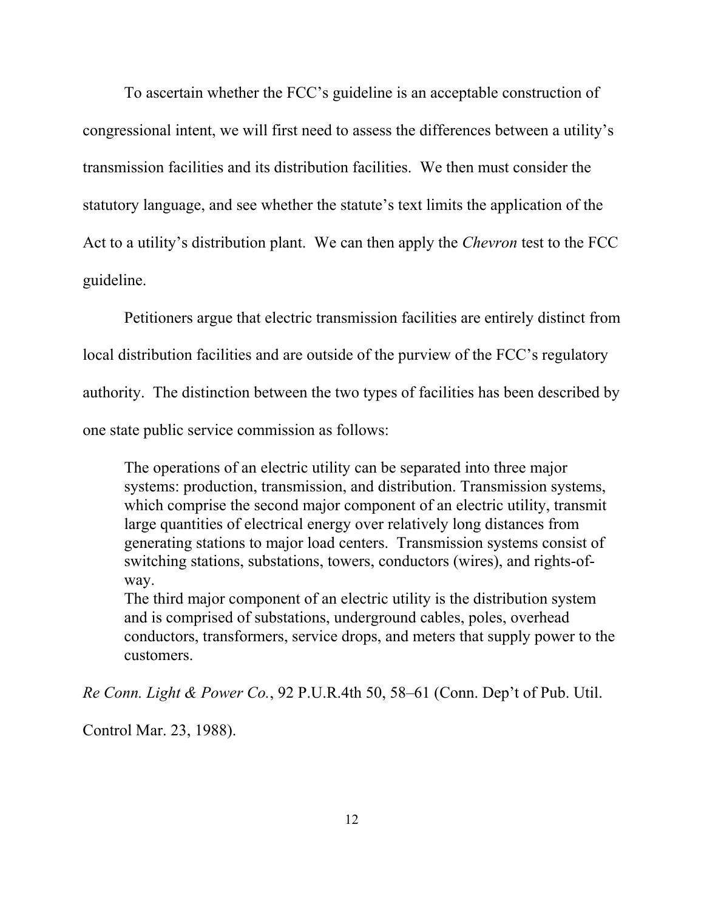To ascertain whether the FCC's guideline is an acceptable construction of congressional intent, we will first need to assess the differences between a utility's transmission facilities and its distribution facilities. We then must consider the statutory language, and see whether the statute's text limits the application of the Act to a utility's distribution plant. We can then apply the *Chevron* test to the FCC guideline.

Petitioners argue that electric transmission facilities are entirely distinct from local distribution facilities and are outside of the purview of the FCC's regulatory authority. The distinction between the two types of facilities has been described by one state public service commission as follows:

The operations of an electric utility can be separated into three major systems: production, transmission, and distribution. Transmission systems, which comprise the second major component of an electric utility, transmit large quantities of electrical energy over relatively long distances from generating stations to major load centers. Transmission systems consist of switching stations, substations, towers, conductors (wires), and rights-ofway.

The third major component of an electric utility is the distribution system and is comprised of substations, underground cables, poles, overhead conductors, transformers, service drops, and meters that supply power to the customers.

*Re Conn. Light & Power Co.*, 92 P.U.R.4th 50, 58–61 (Conn. Dep't of Pub. Util.

Control Mar. 23, 1988).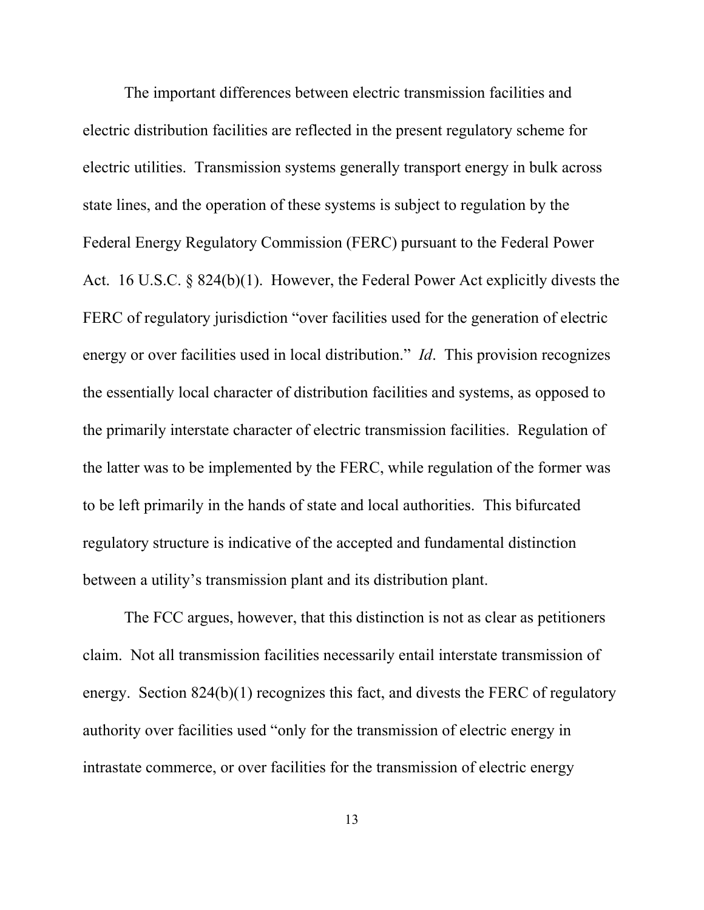The important differences between electric transmission facilities and electric distribution facilities are reflected in the present regulatory scheme for electric utilities. Transmission systems generally transport energy in bulk across state lines, and the operation of these systems is subject to regulation by the Federal Energy Regulatory Commission (FERC) pursuant to the Federal Power Act. 16 U.S.C. § 824(b)(1). However, the Federal Power Act explicitly divests the FERC of regulatory jurisdiction "over facilities used for the generation of electric energy or over facilities used in local distribution." *Id*. This provision recognizes the essentially local character of distribution facilities and systems, as opposed to the primarily interstate character of electric transmission facilities. Regulation of the latter was to be implemented by the FERC, while regulation of the former was to be left primarily in the hands of state and local authorities. This bifurcated regulatory structure is indicative of the accepted and fundamental distinction between a utility's transmission plant and its distribution plant.

The FCC argues, however, that this distinction is not as clear as petitioners claim. Not all transmission facilities necessarily entail interstate transmission of energy. Section 824(b)(1) recognizes this fact, and divests the FERC of regulatory authority over facilities used "only for the transmission of electric energy in intrastate commerce, or over facilities for the transmission of electric energy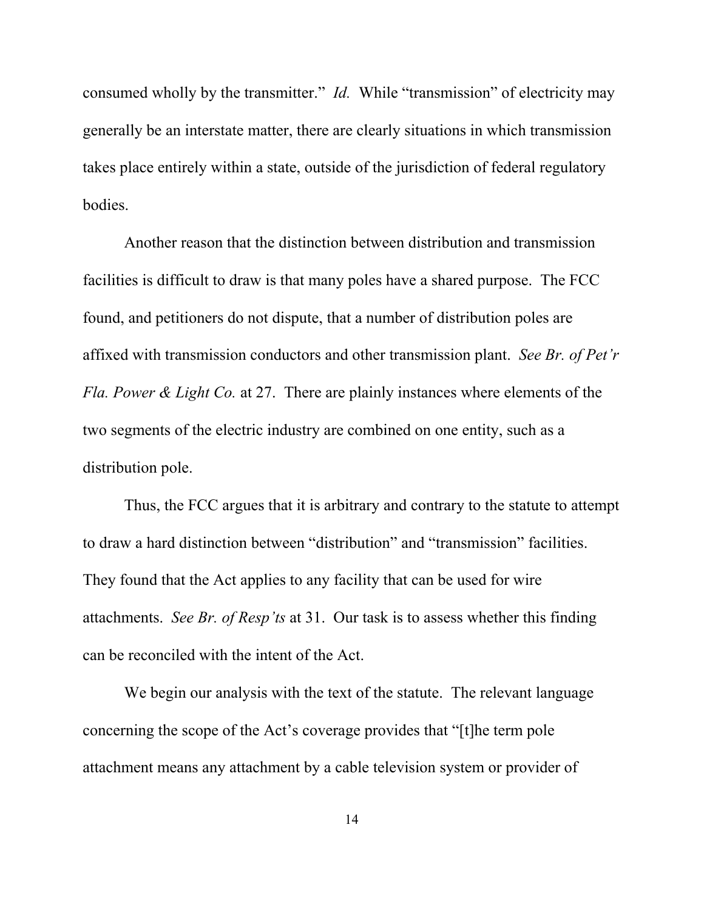consumed wholly by the transmitter." *Id.* While "transmission" of electricity may generally be an interstate matter, there are clearly situations in which transmission takes place entirely within a state, outside of the jurisdiction of federal regulatory bodies.

Another reason that the distinction between distribution and transmission facilities is difficult to draw is that many poles have a shared purpose. The FCC found, and petitioners do not dispute, that a number of distribution poles are affixed with transmission conductors and other transmission plant. *See Br. of Pet'r Fla. Power & Light Co.* at 27. There are plainly instances where elements of the two segments of the electric industry are combined on one entity, such as a distribution pole.

Thus, the FCC argues that it is arbitrary and contrary to the statute to attempt to draw a hard distinction between "distribution" and "transmission" facilities. They found that the Act applies to any facility that can be used for wire attachments. *See Br. of Resp'ts* at 31. Our task is to assess whether this finding can be reconciled with the intent of the Act.

We begin our analysis with the text of the statute. The relevant language concerning the scope of the Act's coverage provides that "[t]he term pole attachment means any attachment by a cable television system or provider of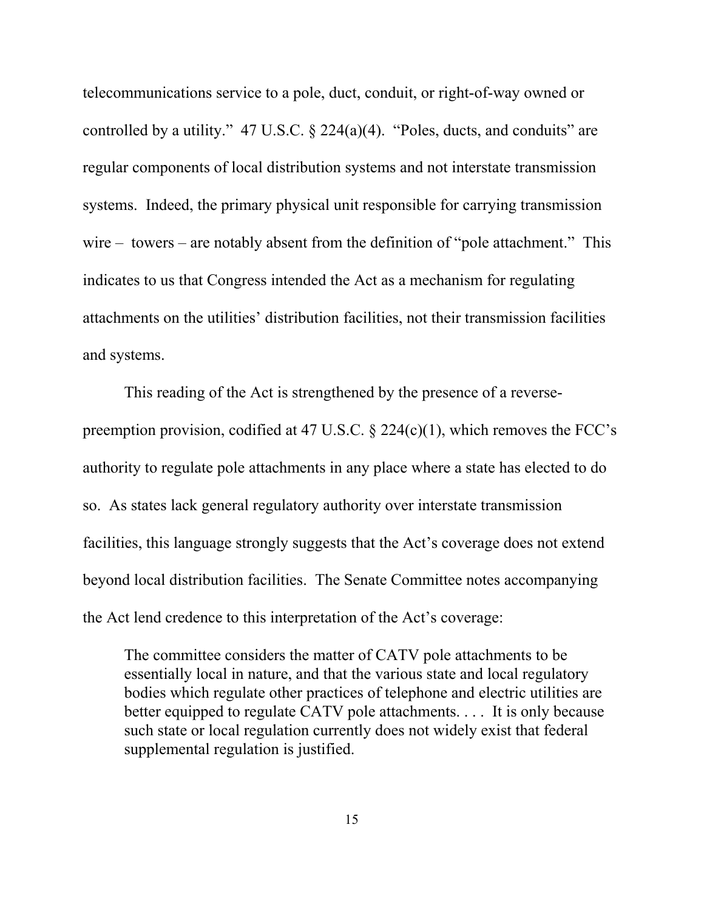telecommunications service to a pole, duct, conduit, or right-of-way owned or controlled by a utility."  $47 \text{ U.S.C.}$  §  $224(a)(4)$ . "Poles, ducts, and conduits" are regular components of local distribution systems and not interstate transmission systems. Indeed, the primary physical unit responsible for carrying transmission wire – towers – are notably absent from the definition of "pole attachment." This indicates to us that Congress intended the Act as a mechanism for regulating attachments on the utilities' distribution facilities, not their transmission facilities and systems.

This reading of the Act is strengthened by the presence of a reversepreemption provision, codified at 47 U.S.C. § 224(c)(1), which removes the FCC's authority to regulate pole attachments in any place where a state has elected to do so. As states lack general regulatory authority over interstate transmission facilities, this language strongly suggests that the Act's coverage does not extend beyond local distribution facilities. The Senate Committee notes accompanying the Act lend credence to this interpretation of the Act's coverage:

The committee considers the matter of CATV pole attachments to be essentially local in nature, and that the various state and local regulatory bodies which regulate other practices of telephone and electric utilities are better equipped to regulate CATV pole attachments. . . . It is only because such state or local regulation currently does not widely exist that federal supplemental regulation is justified.

15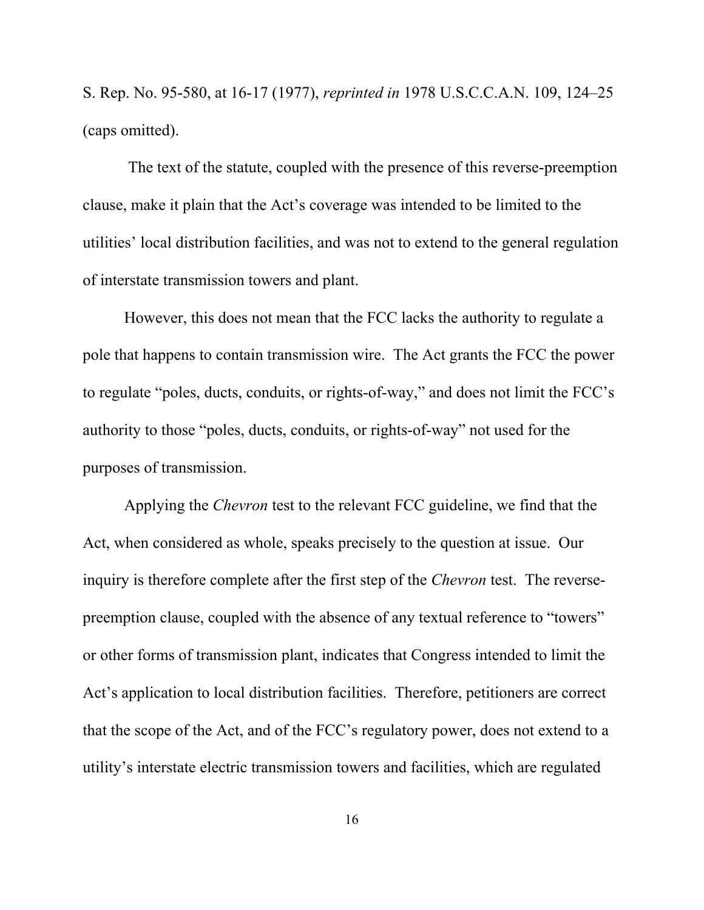S. Rep. No. 95-580, at 16-17 (1977), *reprinted in* 1978 U.S.C.C.A.N. 109, 124–25 (caps omitted).

 The text of the statute, coupled with the presence of this reverse-preemption clause, make it plain that the Act's coverage was intended to be limited to the utilities' local distribution facilities, and was not to extend to the general regulation of interstate transmission towers and plant.

However, this does not mean that the FCC lacks the authority to regulate a pole that happens to contain transmission wire. The Act grants the FCC the power to regulate "poles, ducts, conduits, or rights-of-way," and does not limit the FCC's authority to those "poles, ducts, conduits, or rights-of-way" not used for the purposes of transmission.

Applying the *Chevron* test to the relevant FCC guideline, we find that the Act, when considered as whole, speaks precisely to the question at issue. Our inquiry is therefore complete after the first step of the *Chevron* test. The reversepreemption clause, coupled with the absence of any textual reference to "towers" or other forms of transmission plant, indicates that Congress intended to limit the Act's application to local distribution facilities. Therefore, petitioners are correct that the scope of the Act, and of the FCC's regulatory power, does not extend to a utility's interstate electric transmission towers and facilities, which are regulated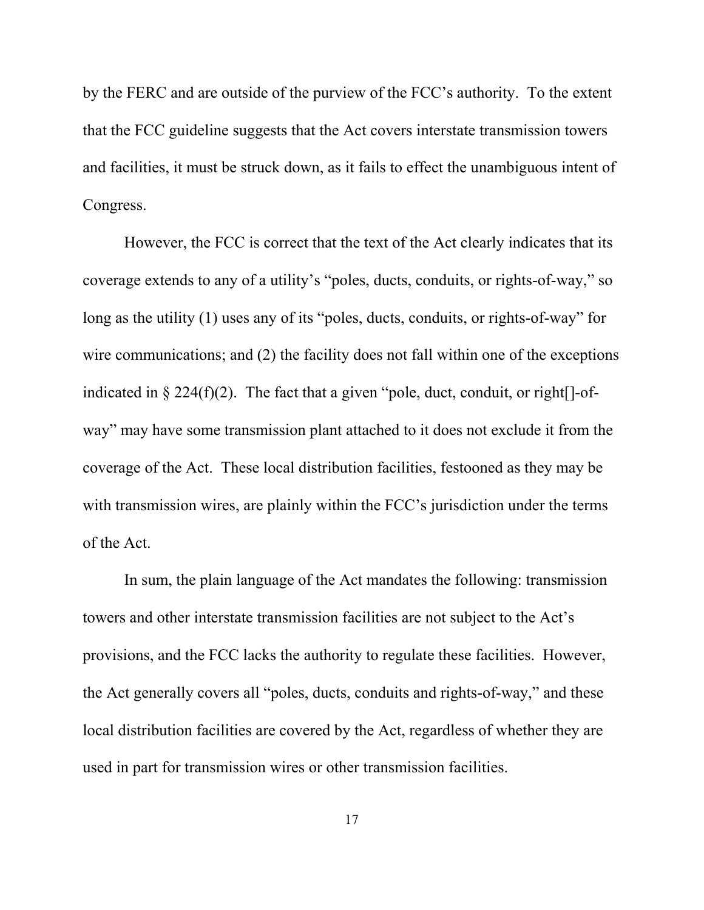by the FERC and are outside of the purview of the FCC's authority. To the extent that the FCC guideline suggests that the Act covers interstate transmission towers and facilities, it must be struck down, as it fails to effect the unambiguous intent of Congress.

However, the FCC is correct that the text of the Act clearly indicates that its coverage extends to any of a utility's "poles, ducts, conduits, or rights-of-way," so long as the utility (1) uses any of its "poles, ducts, conduits, or rights-of-way" for wire communications; and (2) the facility does not fall within one of the exceptions indicated in  $\S 224(f)(2)$ . The fact that a given "pole, duct, conduit, or right  $[]-$ ofway" may have some transmission plant attached to it does not exclude it from the coverage of the Act. These local distribution facilities, festooned as they may be with transmission wires, are plainly within the FCC's jurisdiction under the terms of the Act.

In sum, the plain language of the Act mandates the following: transmission towers and other interstate transmission facilities are not subject to the Act's provisions, and the FCC lacks the authority to regulate these facilities. However, the Act generally covers all "poles, ducts, conduits and rights-of-way," and these local distribution facilities are covered by the Act, regardless of whether they are used in part for transmission wires or other transmission facilities.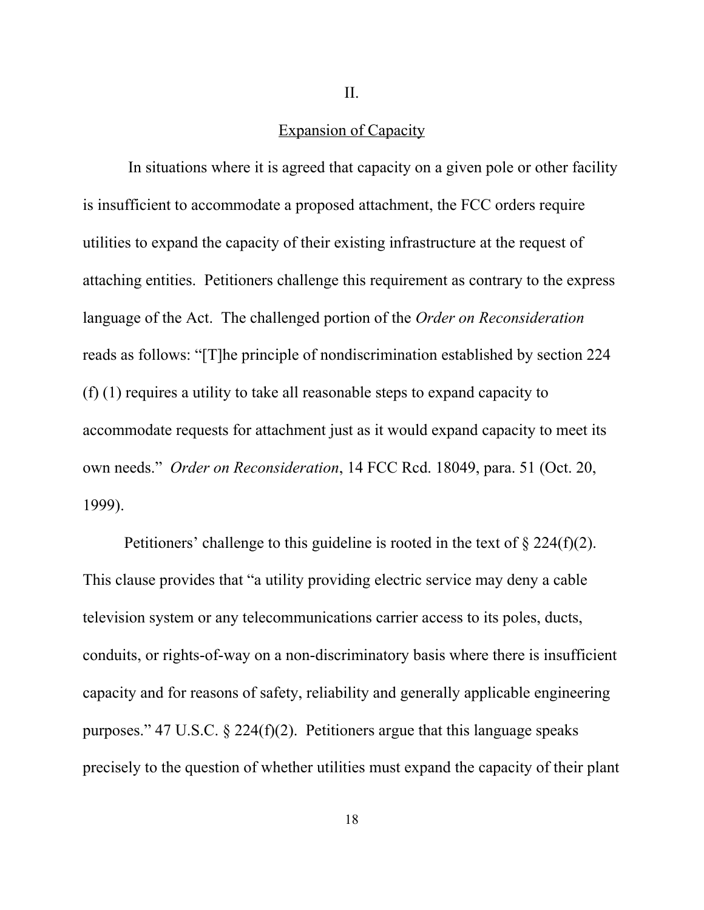II.

## Expansion of Capacity

 In situations where it is agreed that capacity on a given pole or other facility is insufficient to accommodate a proposed attachment, the FCC orders require utilities to expand the capacity of their existing infrastructure at the request of attaching entities. Petitioners challenge this requirement as contrary to the express language of the Act. The challenged portion of the *Order on Reconsideration* reads as follows: "[T]he principle of nondiscrimination established by section 224 (f) (1) requires a utility to take all reasonable steps to expand capacity to accommodate requests for attachment just as it would expand capacity to meet its own needs." *Order on Reconsideration*, 14 FCC Rcd. 18049, para. 51 (Oct. 20, 1999).

Petitioners' challenge to this guideline is rooted in the text of  $\S 224(f)(2)$ . This clause provides that "a utility providing electric service may deny a cable television system or any telecommunications carrier access to its poles, ducts, conduits, or rights-of-way on a non-discriminatory basis where there is insufficient capacity and for reasons of safety, reliability and generally applicable engineering purposes." 47 U.S.C.  $\S$  224(f)(2). Petitioners argue that this language speaks precisely to the question of whether utilities must expand the capacity of their plant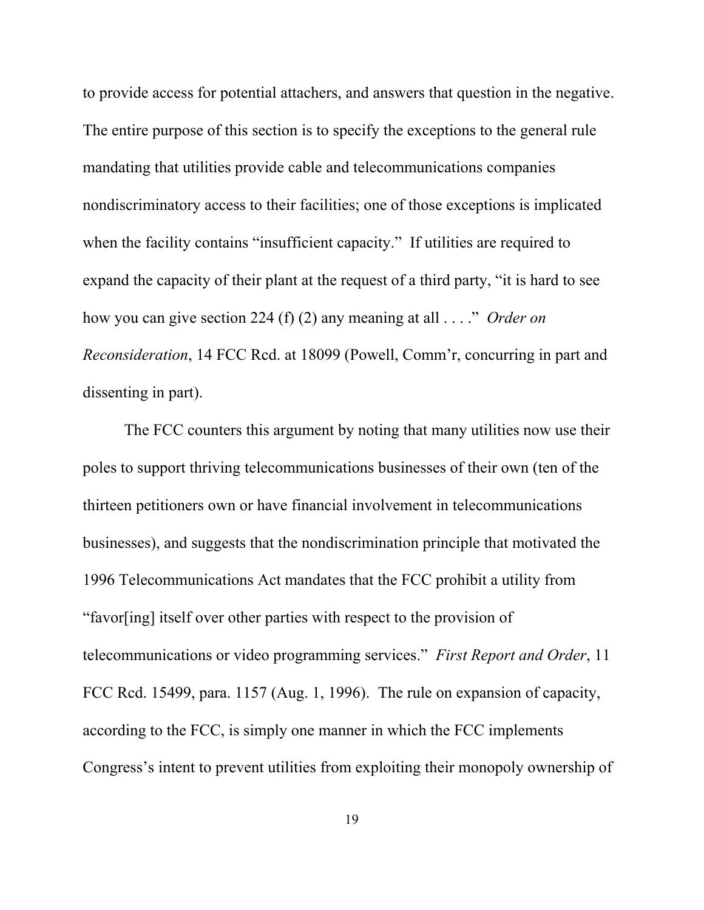to provide access for potential attachers, and answers that question in the negative. The entire purpose of this section is to specify the exceptions to the general rule mandating that utilities provide cable and telecommunications companies nondiscriminatory access to their facilities; one of those exceptions is implicated when the facility contains "insufficient capacity." If utilities are required to expand the capacity of their plant at the request of a third party, "it is hard to see how you can give section 224 (f) (2) any meaning at all . . . ." *Order on Reconsideration*, 14 FCC Rcd. at 18099 (Powell, Comm'r, concurring in part and dissenting in part).

The FCC counters this argument by noting that many utilities now use their poles to support thriving telecommunications businesses of their own (ten of the thirteen petitioners own or have financial involvement in telecommunications businesses), and suggests that the nondiscrimination principle that motivated the 1996 Telecommunications Act mandates that the FCC prohibit a utility from "favor[ing] itself over other parties with respect to the provision of telecommunications or video programming services." *First Report and Order*, 11 FCC Rcd. 15499, para. 1157 (Aug. 1, 1996). The rule on expansion of capacity, according to the FCC, is simply one manner in which the FCC implements Congress's intent to prevent utilities from exploiting their monopoly ownership of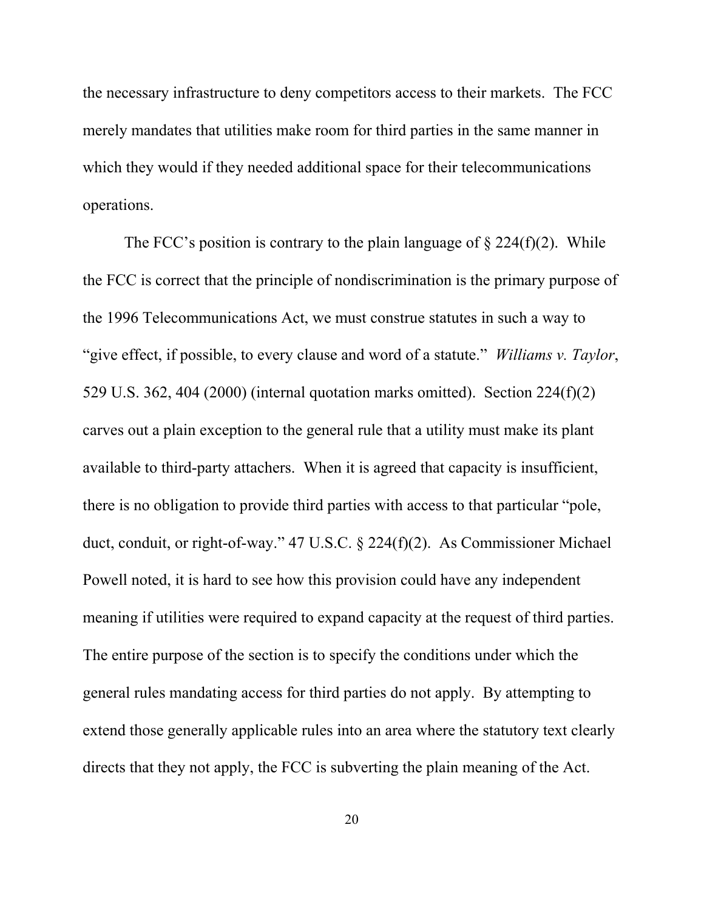the necessary infrastructure to deny competitors access to their markets. The FCC merely mandates that utilities make room for third parties in the same manner in which they would if they needed additional space for their telecommunications operations.

The FCC's position is contrary to the plain language of  $\S 224(f)(2)$ . While the FCC is correct that the principle of nondiscrimination is the primary purpose of the 1996 Telecommunications Act, we must construe statutes in such a way to "give effect, if possible, to every clause and word of a statute." *Williams v. Taylor*, 529 U.S. 362, 404 (2000) (internal quotation marks omitted). Section 224(f)(2) carves out a plain exception to the general rule that a utility must make its plant available to third-party attachers. When it is agreed that capacity is insufficient, there is no obligation to provide third parties with access to that particular "pole, duct, conduit, or right-of-way." 47 U.S.C. § 224(f)(2). As Commissioner Michael Powell noted, it is hard to see how this provision could have any independent meaning if utilities were required to expand capacity at the request of third parties. The entire purpose of the section is to specify the conditions under which the general rules mandating access for third parties do not apply. By attempting to extend those generally applicable rules into an area where the statutory text clearly directs that they not apply, the FCC is subverting the plain meaning of the Act.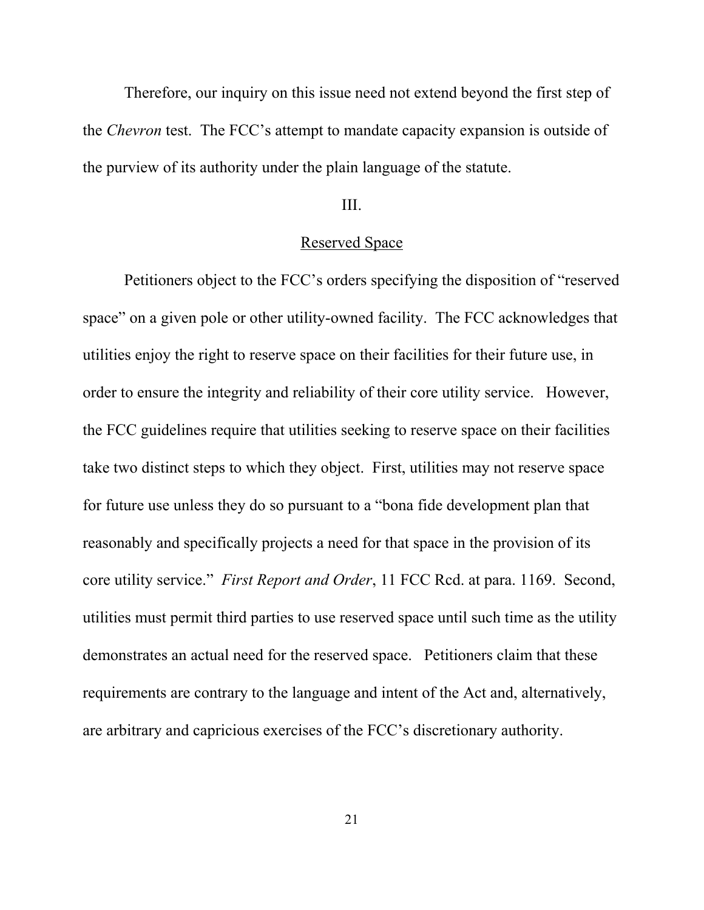Therefore, our inquiry on this issue need not extend beyond the first step of the *Chevron* test. The FCC's attempt to mandate capacity expansion is outside of the purview of its authority under the plain language of the statute.

### III.

### Reserved Space

Petitioners object to the FCC's orders specifying the disposition of "reserved space" on a given pole or other utility-owned facility. The FCC acknowledges that utilities enjoy the right to reserve space on their facilities for their future use, in order to ensure the integrity and reliability of their core utility service. However, the FCC guidelines require that utilities seeking to reserve space on their facilities take two distinct steps to which they object. First, utilities may not reserve space for future use unless they do so pursuant to a "bona fide development plan that reasonably and specifically projects a need for that space in the provision of its core utility service." *First Report and Order*, 11 FCC Rcd. at para. 1169. Second, utilities must permit third parties to use reserved space until such time as the utility demonstrates an actual need for the reserved space. Petitioners claim that these requirements are contrary to the language and intent of the Act and, alternatively, are arbitrary and capricious exercises of the FCC's discretionary authority.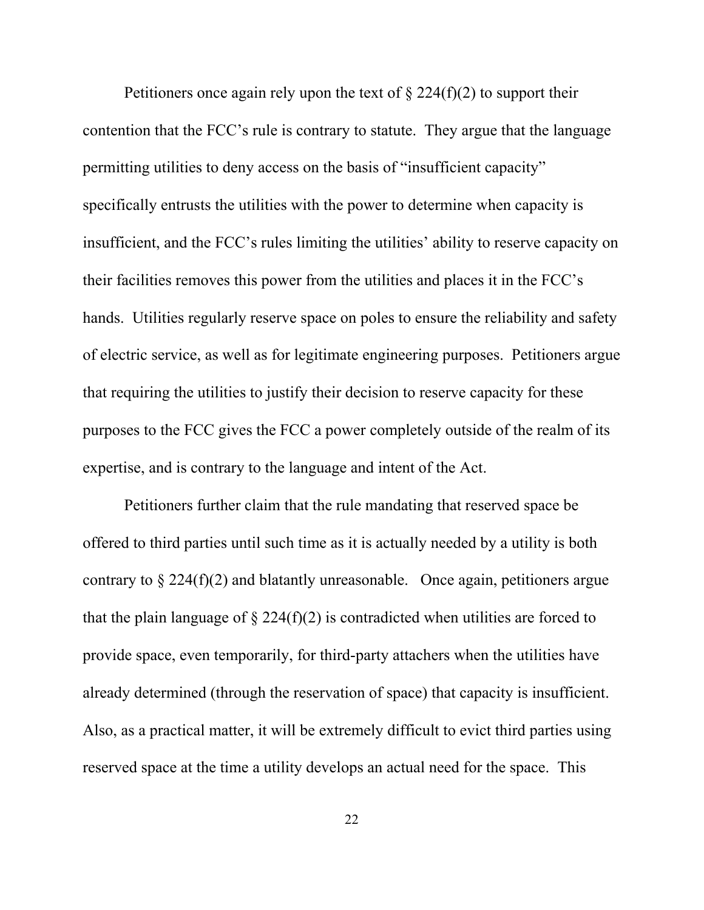Petitioners once again rely upon the text of  $\S 224(f)(2)$  to support their contention that the FCC's rule is contrary to statute. They argue that the language permitting utilities to deny access on the basis of "insufficient capacity" specifically entrusts the utilities with the power to determine when capacity is insufficient, and the FCC's rules limiting the utilities' ability to reserve capacity on their facilities removes this power from the utilities and places it in the FCC's hands. Utilities regularly reserve space on poles to ensure the reliability and safety of electric service, as well as for legitimate engineering purposes. Petitioners argue that requiring the utilities to justify their decision to reserve capacity for these purposes to the FCC gives the FCC a power completely outside of the realm of its expertise, and is contrary to the language and intent of the Act.

Petitioners further claim that the rule mandating that reserved space be offered to third parties until such time as it is actually needed by a utility is both contrary to  $\S 224(f)(2)$  and blatantly unreasonable. Once again, petitioners argue that the plain language of  $\S 224(f)(2)$  is contradicted when utilities are forced to provide space, even temporarily, for third-party attachers when the utilities have already determined (through the reservation of space) that capacity is insufficient. Also, as a practical matter, it will be extremely difficult to evict third parties using reserved space at the time a utility develops an actual need for the space. This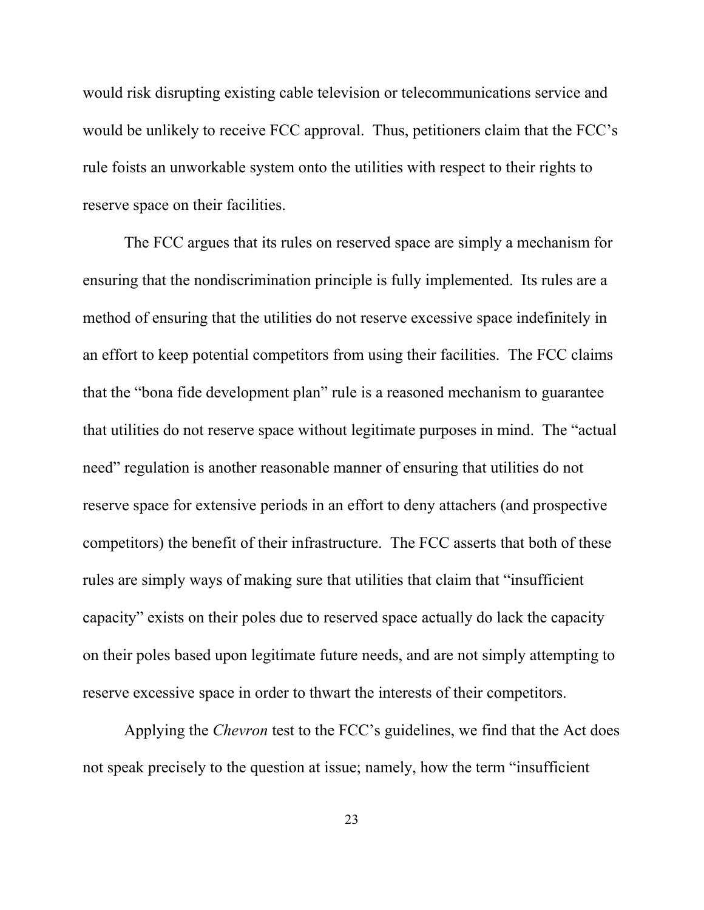would risk disrupting existing cable television or telecommunications service and would be unlikely to receive FCC approval. Thus, petitioners claim that the FCC's rule foists an unworkable system onto the utilities with respect to their rights to reserve space on their facilities.

The FCC argues that its rules on reserved space are simply a mechanism for ensuring that the nondiscrimination principle is fully implemented. Its rules are a method of ensuring that the utilities do not reserve excessive space indefinitely in an effort to keep potential competitors from using their facilities. The FCC claims that the "bona fide development plan" rule is a reasoned mechanism to guarantee that utilities do not reserve space without legitimate purposes in mind. The "actual need" regulation is another reasonable manner of ensuring that utilities do not reserve space for extensive periods in an effort to deny attachers (and prospective competitors) the benefit of their infrastructure. The FCC asserts that both of these rules are simply ways of making sure that utilities that claim that "insufficient capacity" exists on their poles due to reserved space actually do lack the capacity on their poles based upon legitimate future needs, and are not simply attempting to reserve excessive space in order to thwart the interests of their competitors.

Applying the *Chevron* test to the FCC's guidelines, we find that the Act does not speak precisely to the question at issue; namely, how the term "insufficient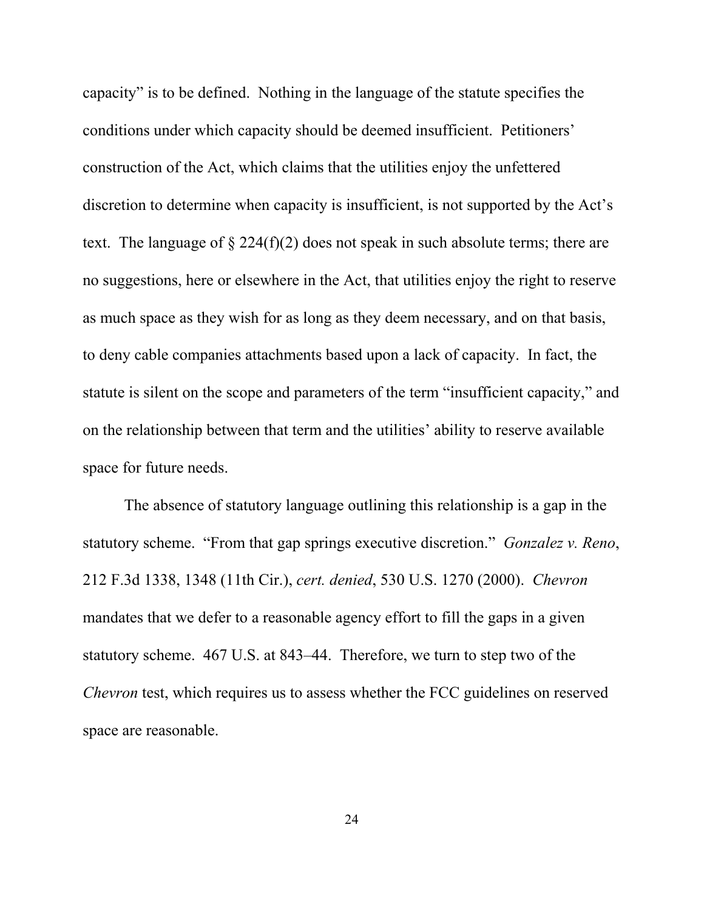capacity" is to be defined. Nothing in the language of the statute specifies the conditions under which capacity should be deemed insufficient. Petitioners' construction of the Act, which claims that the utilities enjoy the unfettered discretion to determine when capacity is insufficient, is not supported by the Act's text. The language of  $\S 224(f)(2)$  does not speak in such absolute terms; there are no suggestions, here or elsewhere in the Act, that utilities enjoy the right to reserve as much space as they wish for as long as they deem necessary, and on that basis, to deny cable companies attachments based upon a lack of capacity. In fact, the statute is silent on the scope and parameters of the term "insufficient capacity," and on the relationship between that term and the utilities' ability to reserve available space for future needs.

The absence of statutory language outlining this relationship is a gap in the statutory scheme. "From that gap springs executive discretion." *Gonzalez v. Reno*, 212 F.3d 1338, 1348 (11th Cir.), *cert. denied*, 530 U.S. 1270 (2000). *Chevron* mandates that we defer to a reasonable agency effort to fill the gaps in a given statutory scheme. 467 U.S. at 843–44. Therefore, we turn to step two of the *Chevron* test, which requires us to assess whether the FCC guidelines on reserved space are reasonable.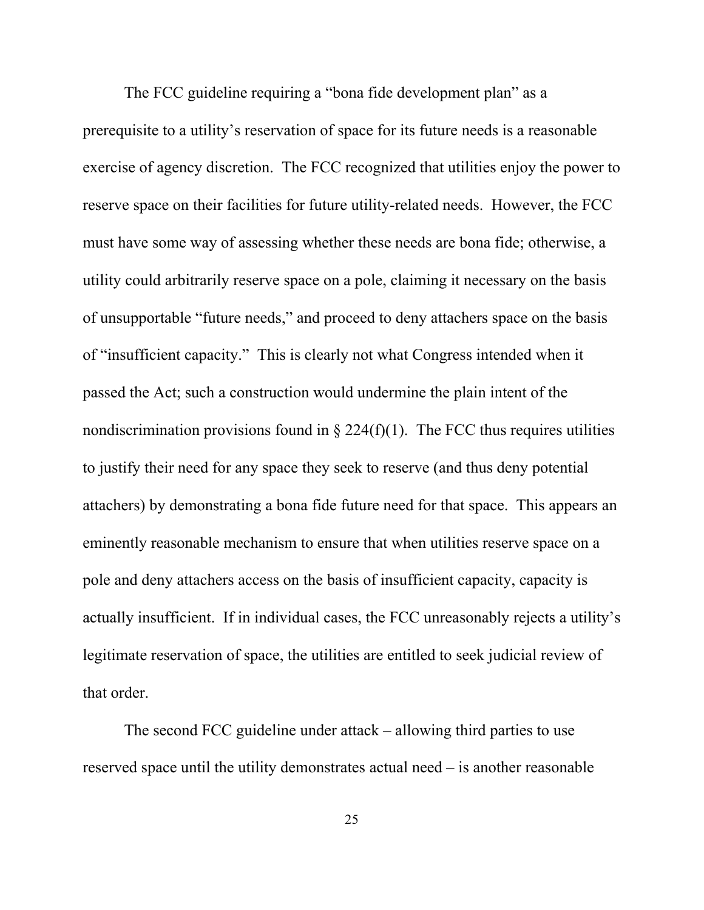The FCC guideline requiring a "bona fide development plan" as a prerequisite to a utility's reservation of space for its future needs is a reasonable exercise of agency discretion. The FCC recognized that utilities enjoy the power to reserve space on their facilities for future utility-related needs. However, the FCC must have some way of assessing whether these needs are bona fide; otherwise, a utility could arbitrarily reserve space on a pole, claiming it necessary on the basis of unsupportable "future needs," and proceed to deny attachers space on the basis of "insufficient capacity." This is clearly not what Congress intended when it passed the Act; such a construction would undermine the plain intent of the nondiscrimination provisions found in  $\S 224(f)(1)$ . The FCC thus requires utilities to justify their need for any space they seek to reserve (and thus deny potential attachers) by demonstrating a bona fide future need for that space. This appears an eminently reasonable mechanism to ensure that when utilities reserve space on a pole and deny attachers access on the basis of insufficient capacity, capacity is actually insufficient. If in individual cases, the FCC unreasonably rejects a utility's legitimate reservation of space, the utilities are entitled to seek judicial review of that order.

The second FCC guideline under attack – allowing third parties to use reserved space until the utility demonstrates actual need – is another reasonable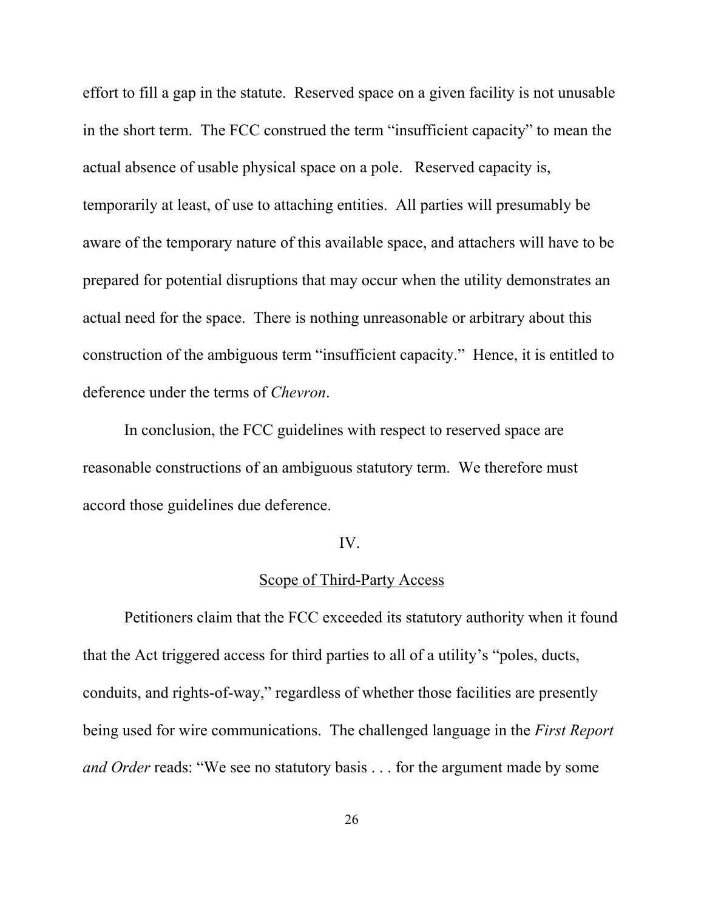effort to fill a gap in the statute. Reserved space on a given facility is not unusable in the short term. The FCC construed the term "insufficient capacity" to mean the actual absence of usable physical space on a pole. Reserved capacity is, temporarily at least, of use to attaching entities. All parties will presumably be aware of the temporary nature of this available space, and attachers will have to be prepared for potential disruptions that may occur when the utility demonstrates an actual need for the space. There is nothing unreasonable or arbitrary about this construction of the ambiguous term "insufficient capacity." Hence, it is entitled to deference under the terms of *Chevron*.

In conclusion, the FCC guidelines with respect to reserved space are reasonable constructions of an ambiguous statutory term. We therefore must accord those guidelines due deference.

#### IV.

#### Scope of Third-Party Access

Petitioners claim that the FCC exceeded its statutory authority when it found that the Act triggered access for third parties to all of a utility's "poles, ducts, conduits, and rights-of-way," regardless of whether those facilities are presently being used for wire communications. The challenged language in the *First Report and Order* reads: "We see no statutory basis . . . for the argument made by some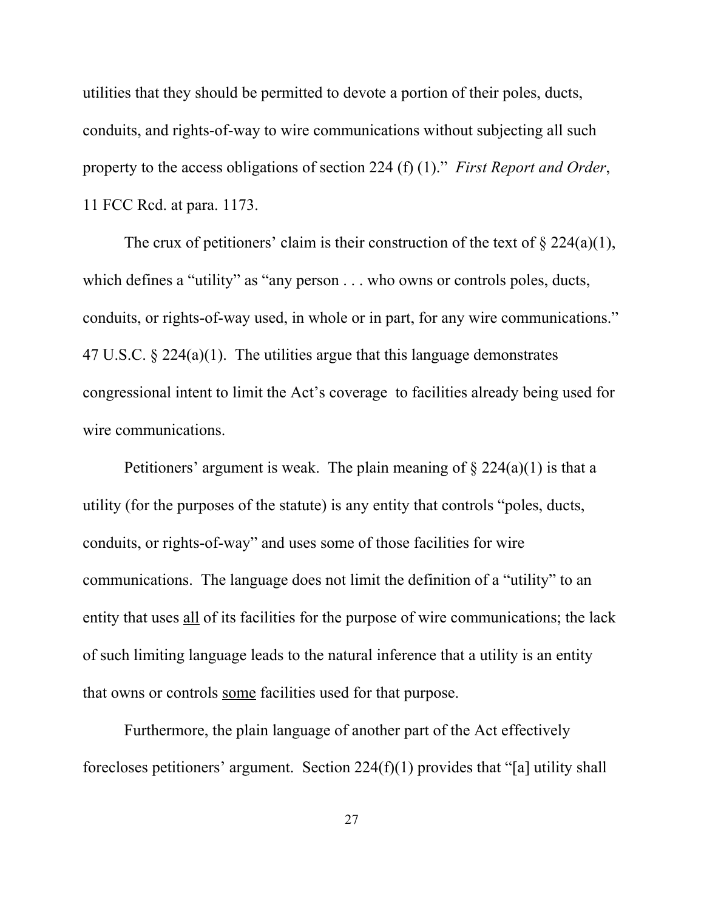utilities that they should be permitted to devote a portion of their poles, ducts, conduits, and rights-of-way to wire communications without subjecting all such property to the access obligations of section 224 (f) (1)." *First Report and Order*, 11 FCC Rcd. at para. 1173.

The crux of petitioners' claim is their construction of the text of  $\S 224(a)(1)$ , which defines a "utility" as "any person . . . who owns or controls poles, ducts, conduits, or rights-of-way used, in whole or in part, for any wire communications." 47 U.S.C. § 224(a)(1). The utilities argue that this language demonstrates congressional intent to limit the Act's coverage to facilities already being used for wire communications.

Petitioners' argument is weak. The plain meaning of  $\S 224(a)(1)$  is that a utility (for the purposes of the statute) is any entity that controls "poles, ducts, conduits, or rights-of-way" and uses some of those facilities for wire communications. The language does not limit the definition of a "utility" to an entity that uses all of its facilities for the purpose of wire communications; the lack of such limiting language leads to the natural inference that a utility is an entity that owns or controls some facilities used for that purpose.

Furthermore, the plain language of another part of the Act effectively forecloses petitioners' argument. Section 224(f)(1) provides that "[a] utility shall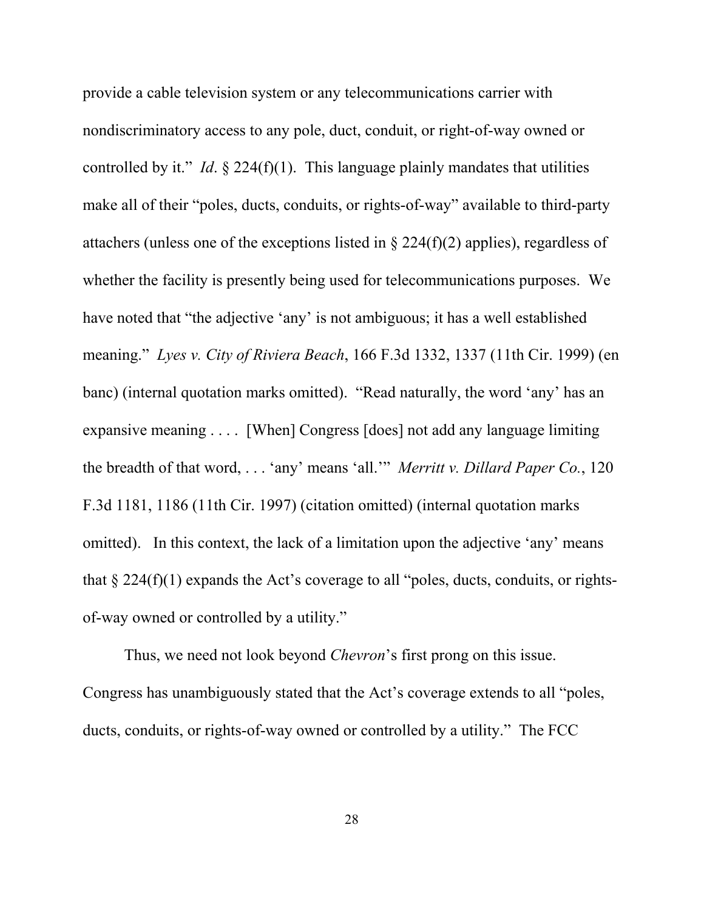provide a cable television system or any telecommunications carrier with nondiscriminatory access to any pole, duct, conduit, or right-of-way owned or controlled by it." *Id.*  $\S$  224(f)(1). This language plainly mandates that utilities make all of their "poles, ducts, conduits, or rights-of-way" available to third-party attachers (unless one of the exceptions listed in  $\S 224(f)(2)$  applies), regardless of whether the facility is presently being used for telecommunications purposes. We have noted that "the adjective 'any' is not ambiguous; it has a well established meaning." *Lyes v. City of Riviera Beach*, 166 F.3d 1332, 1337 (11th Cir. 1999) (en banc) (internal quotation marks omitted). "Read naturally, the word 'any' has an expansive meaning . . . . [When] Congress [does] not add any language limiting the breadth of that word, . . . 'any' means 'all.'" *Merritt v. Dillard Paper Co.*, 120 F.3d 1181, 1186 (11th Cir. 1997) (citation omitted) (internal quotation marks omitted). In this context, the lack of a limitation upon the adjective 'any' means that  $\S 224(f)(1)$  expands the Act's coverage to all "poles, ducts, conduits, or rightsof-way owned or controlled by a utility."

Thus, we need not look beyond *Chevron*'s first prong on this issue. Congress has unambiguously stated that the Act's coverage extends to all "poles, ducts, conduits, or rights-of-way owned or controlled by a utility." The FCC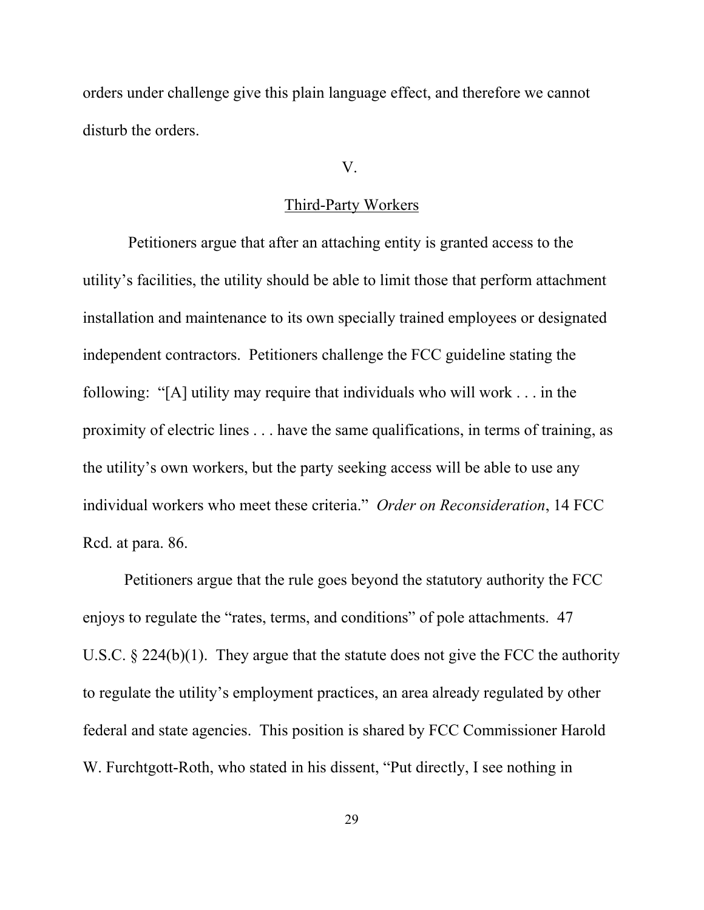orders under challenge give this plain language effect, and therefore we cannot disturb the orders.

### V.

## Third-Party Workers

 Petitioners argue that after an attaching entity is granted access to the utility's facilities, the utility should be able to limit those that perform attachment installation and maintenance to its own specially trained employees or designated independent contractors. Petitioners challenge the FCC guideline stating the following: "[A] utility may require that individuals who will work . . . in the proximity of electric lines . . . have the same qualifications, in terms of training, as the utility's own workers, but the party seeking access will be able to use any individual workers who meet these criteria." *Order on Reconsideration*, 14 FCC Rcd. at para. 86.

Petitioners argue that the rule goes beyond the statutory authority the FCC enjoys to regulate the "rates, terms, and conditions" of pole attachments. 47 U.S.C. § 224(b)(1). They argue that the statute does not give the FCC the authority to regulate the utility's employment practices, an area already regulated by other federal and state agencies. This position is shared by FCC Commissioner Harold W. Furchtgott-Roth, who stated in his dissent, "Put directly, I see nothing in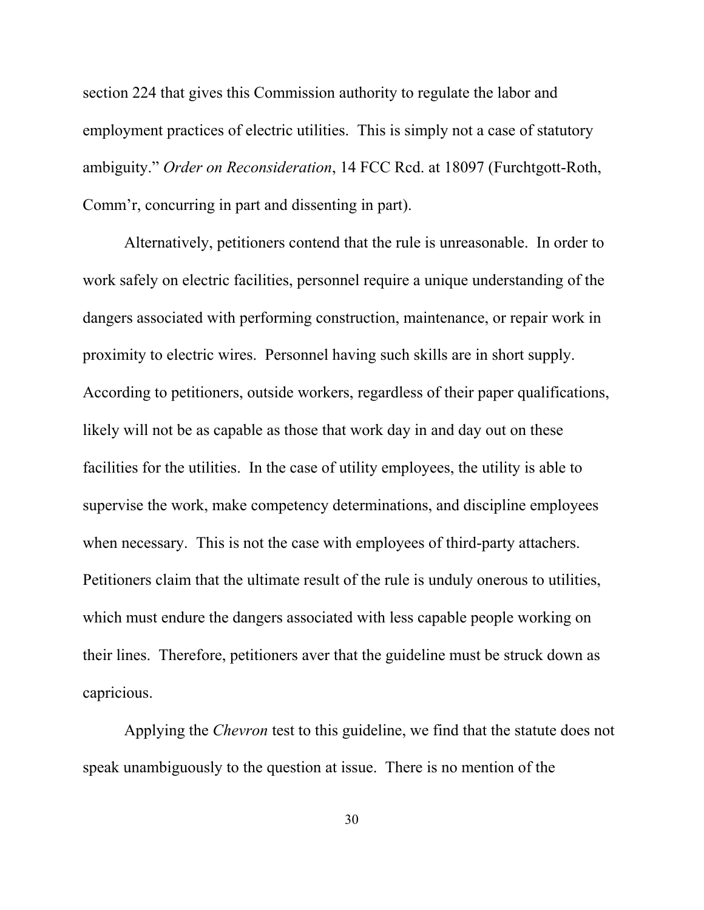section 224 that gives this Commission authority to regulate the labor and employment practices of electric utilities. This is simply not a case of statutory ambiguity." *Order on Reconsideration*, 14 FCC Rcd. at 18097 (Furchtgott-Roth, Comm'r, concurring in part and dissenting in part).

Alternatively, petitioners contend that the rule is unreasonable. In order to work safely on electric facilities, personnel require a unique understanding of the dangers associated with performing construction, maintenance, or repair work in proximity to electric wires. Personnel having such skills are in short supply. According to petitioners, outside workers, regardless of their paper qualifications, likely will not be as capable as those that work day in and day out on these facilities for the utilities. In the case of utility employees, the utility is able to supervise the work, make competency determinations, and discipline employees when necessary. This is not the case with employees of third-party attachers. Petitioners claim that the ultimate result of the rule is unduly onerous to utilities, which must endure the dangers associated with less capable people working on their lines. Therefore, petitioners aver that the guideline must be struck down as capricious.

Applying the *Chevron* test to this guideline, we find that the statute does not speak unambiguously to the question at issue. There is no mention of the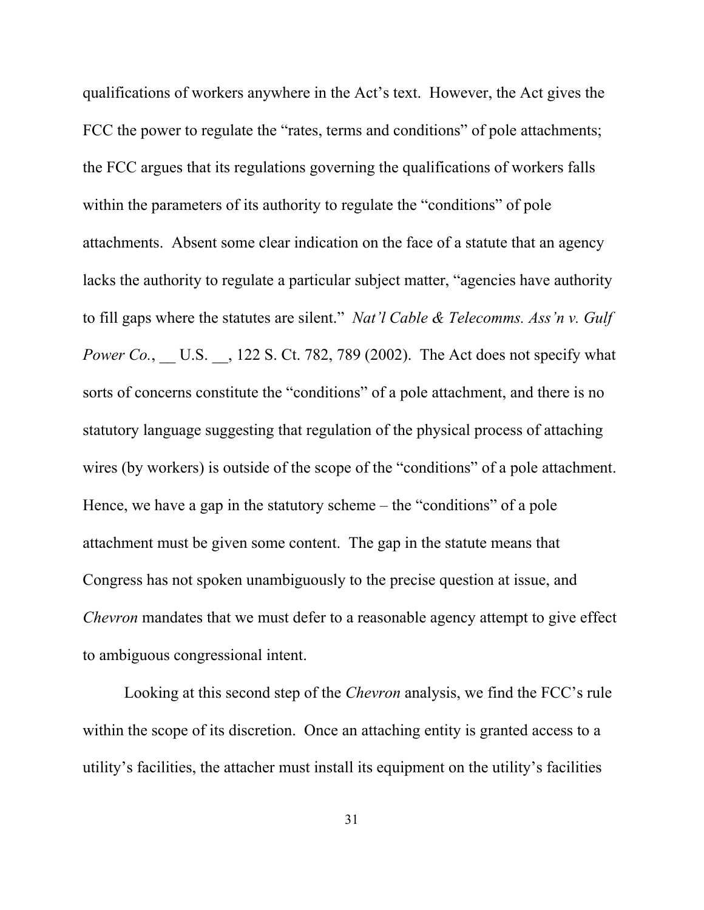qualifications of workers anywhere in the Act's text. However, the Act gives the FCC the power to regulate the "rates, terms and conditions" of pole attachments; the FCC argues that its regulations governing the qualifications of workers falls within the parameters of its authority to regulate the "conditions" of pole attachments. Absent some clear indication on the face of a statute that an agency lacks the authority to regulate a particular subject matter, "agencies have authority to fill gaps where the statutes are silent." *Nat'l Cable & Telecomms. Ass'n v. Gulf Power Co.*, U.S. , 122 S. Ct. 782, 789 (2002). The Act does not specify what sorts of concerns constitute the "conditions" of a pole attachment, and there is no statutory language suggesting that regulation of the physical process of attaching wires (by workers) is outside of the scope of the "conditions" of a pole attachment. Hence, we have a gap in the statutory scheme – the "conditions" of a pole attachment must be given some content. The gap in the statute means that Congress has not spoken unambiguously to the precise question at issue, and *Chevron* mandates that we must defer to a reasonable agency attempt to give effect to ambiguous congressional intent.

Looking at this second step of the *Chevron* analysis, we find the FCC's rule within the scope of its discretion. Once an attaching entity is granted access to a utility's facilities, the attacher must install its equipment on the utility's facilities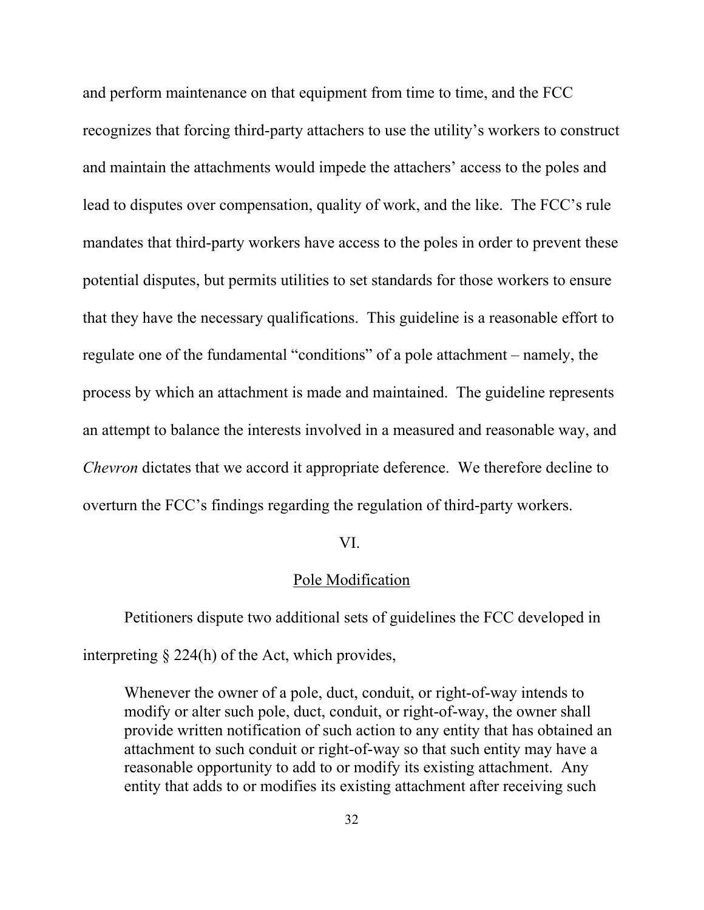and perform maintenance on that equipment from time to time, and the FCC recognizes that forcing third-party attachers to use the utility's workers to construct and maintain the attachments would impede the attachers' access to the poles and lead to disputes over compensation, quality of work, and the like. The FCC's rule mandates that third-party workers have access to the poles in order to prevent these potential disputes, but permits utilities to set standards for those workers to ensure that they have the necessary qualifications. This guideline is a reasonable effort to regulate one of the fundamental "conditions" of a pole attachment – namely, the process by which an attachment is made and maintained. The guideline represents an attempt to balance the interests involved in a measured and reasonable way, and *Chevron* dictates that we accord it appropriate deference. We therefore decline to overturn the FCC's findings regarding the regulation of third-party workers.

#### VI.

#### Pole Modification

Petitioners dispute two additional sets of guidelines the FCC developed in interpreting § 224(h) of the Act, which provides,

Whenever the owner of a pole, duct, conduit, or right-of-way intends to modify or alter such pole, duct, conduit, or right-of-way, the owner shall provide written notification of such action to any entity that has obtained an attachment to such conduit or right-of-way so that such entity may have a reasonable opportunity to add to or modify its existing attachment. Any entity that adds to or modifies its existing attachment after receiving such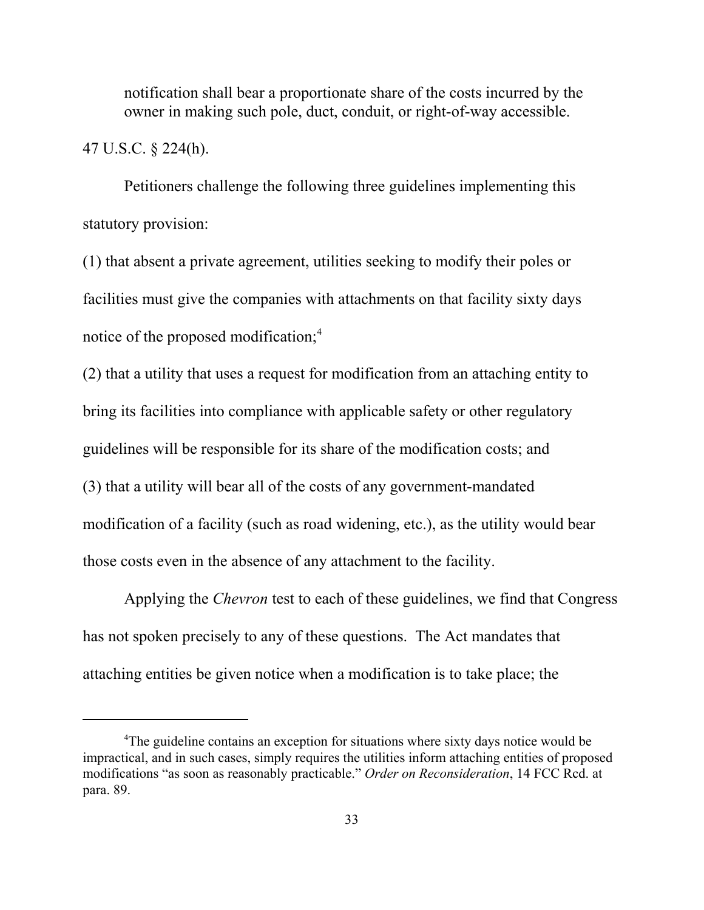notification shall bear a proportionate share of the costs incurred by the owner in making such pole, duct, conduit, or right-of-way accessible.

47 U.S.C. § 224(h).

Petitioners challenge the following three guidelines implementing this statutory provision:

(1) that absent a private agreement, utilities seeking to modify their poles or facilities must give the companies with attachments on that facility sixty days notice of the proposed modification;<sup>4</sup>

(2) that a utility that uses a request for modification from an attaching entity to bring its facilities into compliance with applicable safety or other regulatory guidelines will be responsible for its share of the modification costs; and (3) that a utility will bear all of the costs of any government-mandated modification of a facility (such as road widening, etc.), as the utility would bear those costs even in the absence of any attachment to the facility.

Applying the *Chevron* test to each of these guidelines, we find that Congress has not spoken precisely to any of these questions. The Act mandates that attaching entities be given notice when a modification is to take place; the

<sup>&</sup>lt;sup>4</sup>The guideline contains an exception for situations where sixty days notice would be impractical, and in such cases, simply requires the utilities inform attaching entities of proposed modifications "as soon as reasonably practicable." *Order on Reconsideration*, 14 FCC Rcd. at para. 89.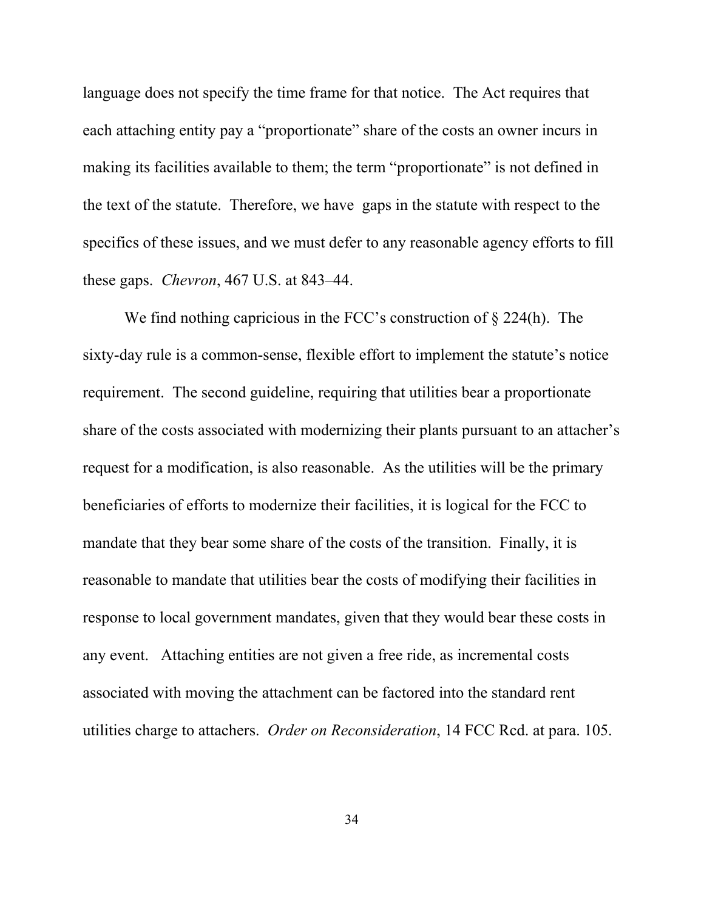language does not specify the time frame for that notice. The Act requires that each attaching entity pay a "proportionate" share of the costs an owner incurs in making its facilities available to them; the term "proportionate" is not defined in the text of the statute. Therefore, we have gaps in the statute with respect to the specifics of these issues, and we must defer to any reasonable agency efforts to fill these gaps. *Chevron*, 467 U.S. at 843–44.

We find nothing capricious in the FCC's construction of  $\S 224(h)$ . The sixty-day rule is a common-sense, flexible effort to implement the statute's notice requirement. The second guideline, requiring that utilities bear a proportionate share of the costs associated with modernizing their plants pursuant to an attacher's request for a modification, is also reasonable. As the utilities will be the primary beneficiaries of efforts to modernize their facilities, it is logical for the FCC to mandate that they bear some share of the costs of the transition. Finally, it is reasonable to mandate that utilities bear the costs of modifying their facilities in response to local government mandates, given that they would bear these costs in any event. Attaching entities are not given a free ride, as incremental costs associated with moving the attachment can be factored into the standard rent utilities charge to attachers. *Order on Reconsideration*, 14 FCC Rcd. at para. 105.